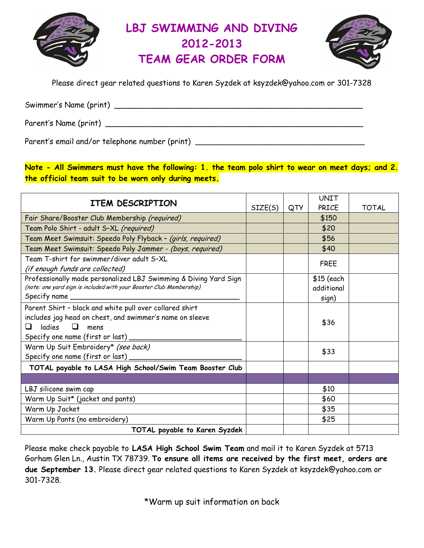

# LBJ SWIMMING AND DIVING 2012-2013 TEAM GEAR ORDER FORM



Please direct gear related questions to Karen Syzdek at ksyzdek@yahoo.com or 301-7328

Swimmer's Name (print) \_\_\_\_\_\_\_\_\_\_\_\_\_\_\_\_\_\_\_\_\_\_\_\_\_\_\_\_\_\_\_\_\_\_\_\_\_\_\_\_\_\_\_\_\_\_\_\_\_\_\_\_

Parent's Name (print) \_\_\_\_\_\_\_\_\_\_\_\_\_\_\_\_\_\_\_\_\_\_\_\_\_\_\_\_\_\_\_\_\_\_\_\_\_\_\_\_\_\_\_\_\_\_\_\_\_\_\_\_\_\_

Parent's email and/or telephone number (print) \_\_\_\_\_\_\_\_\_\_\_\_\_\_\_\_\_\_\_\_\_\_\_\_\_\_\_\_\_\_\_\_\_

Note - All Swimmers must have the following: 1. the team polo shirt to wear on meet days; and 2. the official team suit to be worn only during meets.

| ITEM DESCRIPTION                                                                                                                                                                           |         |     | <b>UNIT</b>                        |              |  |  |  |  |
|--------------------------------------------------------------------------------------------------------------------------------------------------------------------------------------------|---------|-----|------------------------------------|--------------|--|--|--|--|
|                                                                                                                                                                                            | SIZE(S) | QTY | PRICE                              | <b>TOTAL</b> |  |  |  |  |
| Fair Share/Booster Club Membership (required)                                                                                                                                              |         |     | \$150                              |              |  |  |  |  |
| Team Polo Shirt - adult S-XL (required)                                                                                                                                                    |         |     | \$20                               |              |  |  |  |  |
| Team Meet Swimsuit: Speedo Poly Flyback - (girls, required)                                                                                                                                |         |     | \$56                               |              |  |  |  |  |
| Team Meet Swimsuit: Speedo Poly Jammer - <i>(boys, required)</i>                                                                                                                           |         |     | \$40                               |              |  |  |  |  |
| Team T-shirt for swimmer/diver adult S-XL<br>(if enough funds are collected)                                                                                                               |         |     | <b>FREE</b>                        |              |  |  |  |  |
| Professionally made personalized LBJ Swimming & Diving Yard Sign<br>(note: one yard sign is included with your Booster Club Membership)<br>Specify name _____________                      |         |     | $$15$ (each<br>additional<br>sign) |              |  |  |  |  |
| Parent Shirt - black and white pull over collared shirt<br>includes jag head on chest, and swimmer's name on sleeve<br>ladies<br>$\Box$<br>ப<br>mens<br>Specify one name (first or last) _ |         |     | \$36                               |              |  |  |  |  |
| Warm Up Suit Embroidery* (see back)<br>Specify one name (first or last) _                                                                                                                  |         |     | \$33                               |              |  |  |  |  |
| TOTAL payable to LASA High School/Swim Team Booster Club                                                                                                                                   |         |     |                                    |              |  |  |  |  |
|                                                                                                                                                                                            |         |     |                                    |              |  |  |  |  |
| LBJ silicone swim cap                                                                                                                                                                      |         |     | \$10                               |              |  |  |  |  |
| Warm Up Suit* (jacket and pants)                                                                                                                                                           |         |     | \$60                               |              |  |  |  |  |
| Warm Up Jacket                                                                                                                                                                             |         |     | \$35                               |              |  |  |  |  |
| Warm Up Pants (no embroidery)                                                                                                                                                              |         |     | \$25                               |              |  |  |  |  |
| TOTAL payable to Karen Syzdek                                                                                                                                                              |         |     |                                    |              |  |  |  |  |

Please make check payable to LASA High School Swim Team and mail it to Karen Syzdek at 5713 Gorham Glen Ln., Austin TX 78739. To ensure all items are received by the first meet, orders are due September 13. Please direct gear related questions to Karen Syzdek at ksyzdek@yahoo.com or 301-7328.

\*Warm up suit information on back